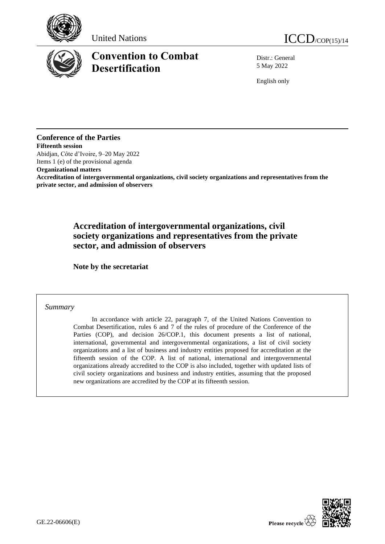





# **Convention to Combat Desertification**

Distr.: General 5 May 2022

English only

## **Conference of the Parties**

**Fifteenth session** Abidjan, Côte d'Ivoire, 9–20 May 2022 Items 1 (e) of the provisional agenda

**Organizational matters**

**Accreditation of intergovernmental organizations, civil society organizations and representatives from the private sector, and admission of observers** 

## **Accreditation of intergovernmental organizations, civil society organizations and representatives from the private sector, and admission of observers**

**Note by the secretariat**

## *Summary*

In accordance with article 22, paragraph 7, of the United Nations Convention to Combat Desertification, rules 6 and 7 of the rules of procedure of the Conference of the Parties (COP), and decision 26/COP.1, this document presents a list of national, international, governmental and intergovernmental organizations, a list of civil society organizations and a list of business and industry entities proposed for accreditation at the fifteenth session of the COP. A list of national, international and intergovernmental organizations already accredited to the COP is also included, together with updated lists of civil society organizations and business and industry entities, assuming that the proposed new organizations are accredited by the COP at its fifteenth session.

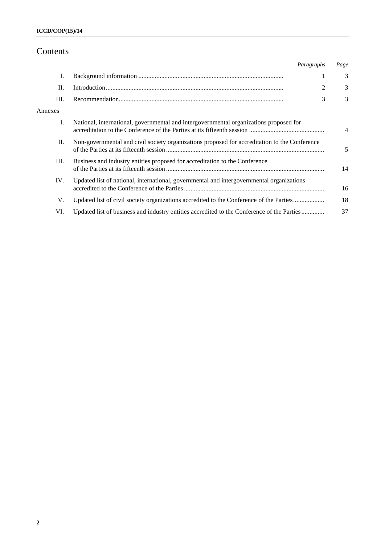## Contents

|         | Paragraphs                                                                                    |   | Page           |
|---------|-----------------------------------------------------------------------------------------------|---|----------------|
| Ι.      |                                                                                               |   | 3              |
| П.      |                                                                                               | 2 | 3              |
| Ш.      |                                                                                               | 3 | 3              |
| Annexes |                                                                                               |   |                |
| Ι.      | National, international, governmental and intergovernmental organizations proposed for        |   | $\overline{4}$ |
| П.      | Non-governmental and civil society organizations proposed for accreditation to the Conference |   | 5              |
| III.    | Business and industry entities proposed for accreditation to the Conference                   |   | 14             |
| IV.     | Updated list of national, international, governmental and intergovernmental organizations     |   | 16             |
| V.      | Updated list of civil society organizations accredited to the Conference of the Parties       |   | 18             |
| VI.     | Updated list of business and industry entities accredited to the Conference of the Parties    |   | 37             |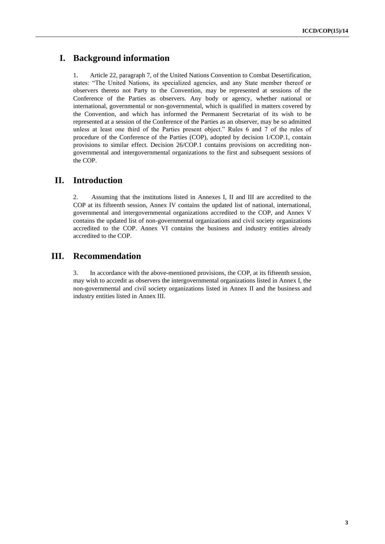## **I. Background information**

1. Article 22, paragraph 7, of the United Nations Convention to Combat Desertification, states: "The United Nations, its specialized agencies, and any State member thereof or observers thereto not Party to the Convention, may be represented at sessions of the Conference of the Parties as observers. Any body or agency, whether national or international, governmental or non-governmental, which is qualified in matters covered by the Convention, and which has informed the Permanent Secretariat of its wish to be represented at a session of the Conference of the Parties as an observer, may be so admitted unless at least one third of the Parties present object." Rules 6 and 7 of the rules of procedure of the Conference of the Parties (COP), adopted by decision 1/COP.1, contain provisions to similar effect. Decision 26/COP.1 contains provisions on accrediting nongovernmental and intergovernmental organizations to the first and subsequent sessions of the COP.

## **II. Introduction**

2. Assuming that the institutions listed in Annexes I, II and III are accredited to the COP at its fifteenth session, Annex IV contains the updated list of national, international, governmental and intergovernmental organizations accredited to the COP, and Annex V contains the updated list of non-governmental organizations and civil society organizations accredited to the COP. Annex VI contains the business and industry entities already accredited to the COP.

## **III. Recommendation**

3. In accordance with the above-mentioned provisions, the COP, at its fifteenth session, may wish to accredit as observers the intergovernmental organizations listed in Annex I, the non-governmental and civil society organizations listed in Annex II and the business and industry entities listed in Annex III.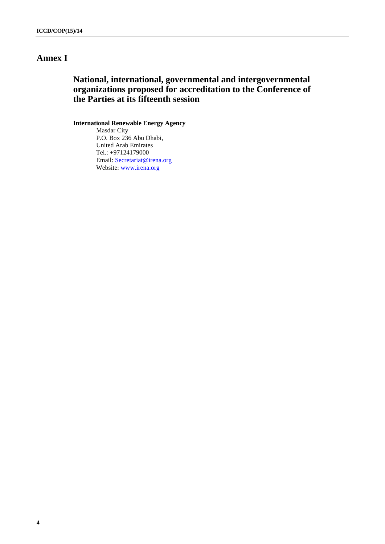## **Annex I**

## **National, international, governmental and intergovernmental organizations proposed for accreditation to the Conference of the Parties at its fifteenth session**

### **International Renewable Energy Agency**

Masdar City P.O. Box 236 Abu Dhabi, United Arab Emirates Tel.: +97124179000 Email: [Secretariat@irena.org](mailto:Secretariat@irena.org) Website: [www.irena.org](http://www.irena.org/)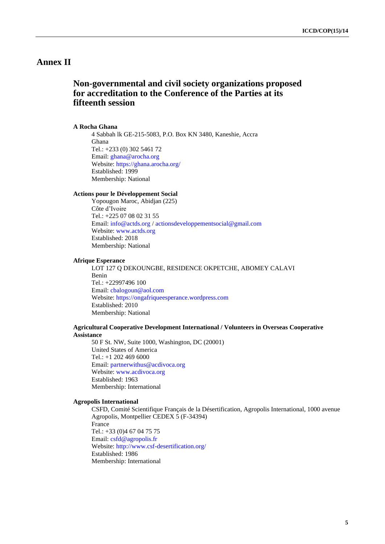## **Annex II**

## **Non-governmental and civil society organizations proposed for accreditation to the Conference of the Parties at its fifteenth session**

#### **A Rocha Ghana**

4 Sabbah lk GE-215-5083, P.O. Box KN 3480, Kaneshie, Accra Ghana Tel.: +233 (0) 302 5461 72 Email: [ghana@arocha.org](mailto:ghana@arocha.org) Website:<https://ghana.arocha.org/> Established: 1999 Membership: National

#### **Actions pour le Développement Social**

Yopougon Maroc, Abidjan (225) Côte d'Ivoire Tel.: +225 07 08 02 31 55 Email: [info@actds.org](mailto:info@actds.org) [/ actionsdeveloppementsocial@gmail.com](mailto:actionsdeveloppementsocial@gmail.com) Website: [www.actds.org](http://www.actds.org/) Established: 2018 Membership: National

#### **Afrique Esperance**

LOT 127 Q DEKOUNGBE, RESIDENCE OKPETCHE, ABOMEY CALAVI Benin Tel.: +22997496 100 Email: [cbalogoun@aol.com](mailto:cbalogoun@aol.com) Website: [https://ongafriqueesperance.wordpress.com](https://ongafriqueesperance.wordpress.com/) Established: 2010 Membership: National

#### **Agricultural Cooperative Development International / Volunteers in Overseas Cooperative Assistance**

50 F St. NW, Suite 1000, Washington, DC (20001) United States of America Tel.: +1 202 469 6000 Email: [partnerwithus@acdivoca.org](mailto:partnerwithus@acdivoca.org) Website: [www.acdivoca.org](http://www.acdivoca.org/) Established: 1963 Membership: International

### **Agropolis International**

CSFD, Comité Scientifique Français de la Désertification, Agropolis International, 1000 avenue Agropolis, Montpellier CEDEX 5 (F-34394) France Tel.: +33 (0)4 67 04 75 75 Email: [csfd@agropolis.fr](mailto:csfd@agropolis.fr) Website:<http://www.csf-desertification.org/> Established: 1986 Membership: International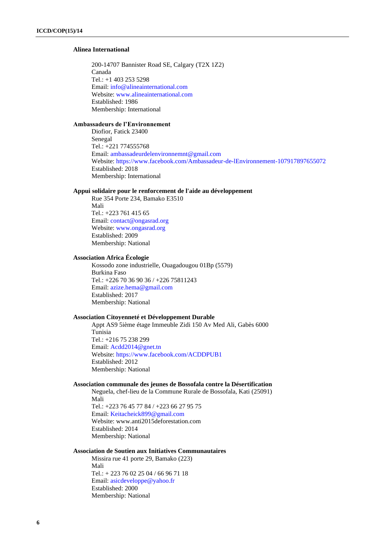### **Alinea International**

200-14707 Bannister Road SE, Calgary (T2X 1Z2) Canada Tel.: +1 403 253 5298 Email: [info@alineainternational.com](mailto:info@alineainternational.com) Website: [www.alineainternational.com](http://www.alineainternational.com/) Established: 1986 Membership: International

#### **Ambassadeurs de l'Environnement**

Diofior, Fatick 23400 Senegal Tel.: +221 774555768 Email: [ambassadeurdelenvironnemnt@gmail.com](mailto:ambassadeurdelenvironnemnt@gmail.com) Website:<https://www.facebook.com/Ambassadeur-de-lEnvironnement-107917897655072> Established: 2018 Membership: International

### **Appui solidaire pour le renforcement de l'aide au développement**

Rue 354 Porte 234, Bamako E3510 Mali Tel.: +223 761 415 65 Email: [contact@ongasrad.org](mailto:contact@ongasrad.org) Website: [www.ongasrad.org](http://www.ongasrad.org/) Established: 2009 Membership: National

#### **Association Africa Écologie**

Kossodo zone industrielle, Ouagadougou 01Bp (5579) Burkina Faso Tel.: +226 70 36 90 36 / +226 75811243 Email: [azize.hema@gmail.com](mailto:azize.hema@gmail.com) Established: 2017 Membership: National

#### **Association Citoyenneté et Développement Durable**

Appt AS9 5ième étage Immeuble Zidi 150 Av Med Ali, Gabès 6000 Tunisia Tel.: +216 75 238 299 Email: [Acdd2014@gnet.tn](mailto:Acdd2014@gnet.tn) Website:<https://www.facebook.com/ACDDPUB1> Established: 2012 Membership: National

#### **Association communale des jeunes de Bossofala contre la Désertification**

Neguela, chef-lieu de la Commune Rurale de Bossofala, Kati (25091) Mali Tel.: +223 76 45 77 84 / +223 66 27 95 75 Email: [Keitacheick899@gmail.com](mailto:Keitacheick899@gmail.com) Website: www.anti2015deforestation.com Established: 2014 Membership: National

#### **Association de Soutien aux Initiatives Communautaires**

Missira rue 41 porte 29, Bamako (223) Mali Tel.: + 223 76 02 25 04 / 66 96 71 18 Email: [asicdeveloppe@yahoo.fr](mailto:asicdeveloppe@yahoo.fr) Established: 2000 Membership: National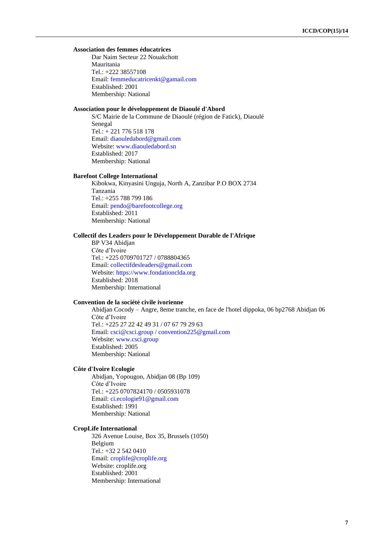## **Association des femmes éducatrices**

Dar Naim Secteur 22 Nouakchott Mauritania Tel.: +222 38557108 Email: [femmeducatricenkt@gamail.com](mailto:femmeducatricenkt@gamail.com) Established: 2001 Membership: National

## **Association pour le développement de Diaoulé d'Abord**

S/C Mairie de la Commune de Diaoulé (région de Fatick), Diaoulé Senegal Tel.: + 221 776 518 178 Email: [diaouledabord@gmail.com](mailto:diaouledabord@gmail.com) Website: [www.diaouledabord.sn](http://www.diaouledabord.sn/) Established: 2017 Membership: National

#### **Barefoot College International**

Kibokwa, Kinyasini Unguja, North A, Zanzibar P.O BOX 2734 Tanzania Tel.: +255 788 799 186 Email: [pendo@barefootcollege.org](mailto:pendo@barefootcollege.org) Established: 2011 Membership: National

#### **Collectif des Leaders pour le Développement Durable de l'Afrique**

BP V34 Abidjan Côte d'Ivoire Tel.: +225 0709701727 / 0788804365 Email: [collectifdesleaders@gmail.com](mailto:collectifdesleaders@gmail.com) Website: [https://www.fondationclda.org](https://www.fondationclda.org/) Established: 2018 Membership: International

#### **Convention de la société civile ivorienne**

Abidjan Cocody – Angre, 8eme tranche, en face de l'hotel dippoka, 06 bp2768 Abidjan 06 Côte d'Ivoire Tel.: +225 27 22 42 49 31 / 07 67 79 29 63 Email: [csci@csci.group](mailto:csci@csci.group) / [convention225@gmail.com](mailto:convention225@gmail.com) Website: [www.csci.group](http://www.csci.group/) Established: 2005 Membership: National

#### **Côte d'Ivoire Ecologie**

Abidjan, Yopougon, Abidjan 08 (Bp 109) Côte d'Ivoire Tel.: +225 0707824170 / 0505931078 Email: [ci.ecologie91@gmail.com](mailto:ci.ecologie91@gmail.com) Established: 1991 Membership: National

## **CropLife International**

326 Avenue Louise, Box 35, Brussels (1050) Belgium Tel.: +32 2 542 0410 Email: [croplife@croplife.org](mailto:croplife@croplife.org) Website: croplife.org Established: 2001 Membership: International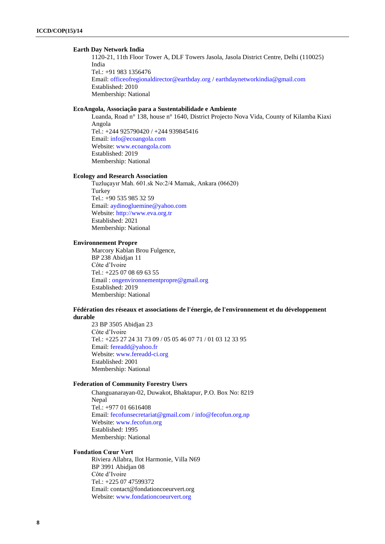#### **Earth Day Network India**

1120-21, 11th Floor Tower A, DLF Towers Jasola, Jasola District Centre, Delhi (110025) India Tel.: +91 983 1356476 Email: [officeofregionaldirector@earthday.org](mailto:officeofregionaldirector@earthday.org) [/ earthdaynetworkindia@gmail.com](mailto:earthdaynetworkindia@gmail.com) Established: 2010 Membership: National

## **EcoAngola, Associação para a Sustentabilidade e Ambiente**

Luanda, Road n° 138, house n° 1640, District Projecto Nova Vida, County of Kilamba Kiaxi Angola Tel.: +244 925790420 / +244 939845416 Email: [info@ecoangola.com](mailto:info@ecoangola.com) Website: [www.ecoangola.com](http://www.ecoangola.com/) Established: 2019 Membership: National

#### **Ecology and Research Association**

Tuzluçayır Mah. 601.sk No:2/4 Mamak, Ankara (06620) **Turkey** Tel.: +90 535 985 32 59 Email: [aydinogluemine@yahoo.com](mailto:aydinogluemine@yahoo.com) Website: [http://www.eva.org.tr](http://www.eva.org.tr/) Established: 2021 Membership: National

### **Environnement Propre**

Marcory Kablan Brou Fulgence, BP 238 Abidjan 11 Côte d'Ivoire Tel.: +225 07 08 69 63 55 Email : [ongenvironnementpropre@gmail.org](mailto:ongenvironnementpropre@gmail.org) Established: 2019 Membership: National

#### **Fédération des réseaux et associations de l'énergie, de l'environnement et du développement durable**

23 BP 3505 Abidjan 23 Côte d'Ivoire Tel.: +225 27 24 31 73 09 / 05 05 46 07 71 / 01 03 12 33 95 Email: [fereadd@yahoo.fr](mailto:fereadd@yahoo.fr) Website: [www.fereadd-ci.org](http://www.fereadd-ci.org/) Established: 2001 Membership: National

#### **Federation of Community Forestry Users**

Changuanarayan-02, Duwakot, Bhaktapur, P.O. Box No: 8219 Nepal Tel.: +977 01 6616408 Email: [fecofunsecretariat@gmail.com](mailto:fecofunsecretariat@gmail.com) / [info@fecofun.org.np](mailto:info@fecofun.org.np) Website: [www.fecofun.org](http://www.fecofun.org/) Established: 1995 Membership: National

#### **Fondation Cœur Vert**

Riviera Allabra, Ilot Harmonie, Villa N69 BP 3991 Abidjan 08 Côte d'Ivoire Tel.: +225 07 47599372 Email: contact@fondationcoeurvert.org Website: [www.fondationcoeurvert.org](http://www.fondationcoeurvert.org/)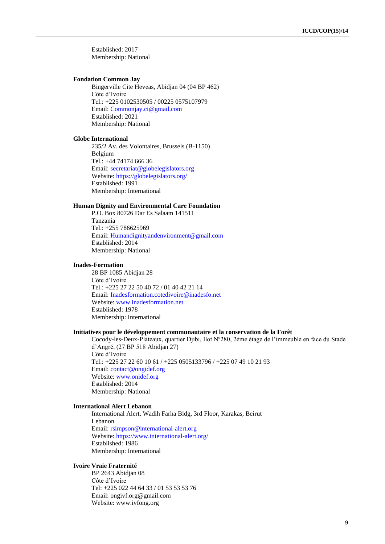Established: 2017 Membership: National

#### **Fondation Common Jay**

Bingerville Cite Heveas, Abidjan 04 (04 BP 462) Côte d'Ivoire Tel.: +225 0102530505 / 00225 0575107979 Email: [Commonjay.ci@gmail.com](mailto:Commonjay.ci@gmail.com) Established: 2021 Membership: National

#### **Globe International**

235/2 Av. des Volontaires, Brussels (B-1150) Belgium Tel.: +44 74174 666 36 Email: [secretariat@globelegislators.org](mailto:secretariat@globelegislators.org) Website:<https://globelegislators.org/> Established: 1991 Membership: International

## **Human Dignity and Environmental Care Foundation**

P.O. Box 80726 Dar Es Salaam 141511 Tanzania Tel.: +255 786625969 Email: [Humandignityandenvironment@gmail.com](mailto:Humandignityandenvironment@gmail.com) Established: 2014 Membership: National

#### **Inades-Formation**

28 BP 1085 Abidjan 28 Côte d'Ivoire Tel.: +225 27 22 50 40 72 / 01 40 42 21 14 Email: [Inadesformation.cotedivoire@inadesfo.net](mailto:Inadesformation.cotedivoire@inadesfo.net) Website: [www.inadesformation.net](http://www.inadesformation.net/) Established: 1978 Membership: International

#### **Initiatives pour le développement communautaire et la conservation de la Forêt**

Cocody-les-Deux-Plateaux, quartier Djibi, Ilot Nº280, 2ème étage de l'immeuble en face du Stade d'Angré, (27 BP 518 Abidjan 27) Côte d'Ivoire Tel.: +225 27 22 60 10 61 / +225 0505133796 / +225 07 49 10 21 93 Email: [contact@ongidef.org](mailto:contact@ongidef.org) Website: [www.onidef.org](http://www.onidef.org/) Established: 2014 Membership: National

### **International Alert Lebanon**

International Alert, Wadih Farha Bldg, 3rd Floor, Karakas, Beirut Lebanon Email: [rsimpson@international-alert.org](mailto:rsimpson@international-alert.org) Website:<https://www.international-alert.org/> Established: 1986 Membership: International

#### **Ivoire Vraie Fraternité**

BP 2643 Abidjan 08 Côte d'Ivoire Tel: +225 022 44 64 33 / 01 53 53 53 76 Email: ongivf.org@gmail.com Website: www.ivfong.org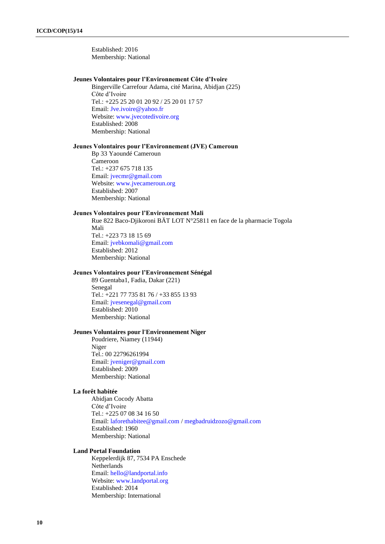Established: 2016 Membership: National

#### **Jeunes Volontaires pour l'Environnement Côte d'Ivoire**

Bingerville Carrefour Adama, cité Marina, Abidjan (225) Côte d'Ivoire Tel.: +225 25 20 01 20 92 / 25 20 01 17 57 Email: [Jve.ivoire@yahoo.fr](mailto:Jve.ivoire@yahoo.fr) Website: [www.jvecotedivoire.org](http://www.jvecotedivoire.org/) Established: 2008 Membership: National

### **Jeunes Volontaires pour l'Environnement (JVE) Cameroun**

Bp 33 Yaoundé Cameroun Cameroon Tel.: +237 675 718 135 Email: [jvecmr@gmail.com](mailto:jvecmr@gmail.com) Website: [www.jvecameroun.org](http://www.jvecameroun.org/) Established: 2007 Membership: National

#### **Jeunes Volontaires pour l'Environnement Mali**

Rue 822 Baco-Djikoroni BÄT LOT N°25811 en face de la pharmacie Togola Mali Tel.: +223 73 18 15 69 Email: [jvebkomali@gmail.com](mailto:jvebkomali@gmail.com) Established: 2012 Membership: National

## **Jeunes Volontaires pour l'Environnement Sénégal**

89 Guentaba1, Fadia, Dakar (221) Senegal Tel.: +221 77 735 81 76 / +33 855 13 93 Email: [jvesenegal@gmail.com](mailto:jvesenegal@gmail.com) Established: 2010 Membership: National

### **Jeunes Voluntaires pour l'Environnement Niger**

Poudriere, Niamey (11944) Niger Tel.: 00 22796261994 Email: [jveniger@gmail.com](mailto:jveniger@gmail.com) Established: 2009 Membership: National

#### **La forêt habitée**

Abidjan Cocody Abatta Côte d'Ivoire Tel.: +225 07 08 34 16 50 Email: [laforethabitee@gmail.com](mailto:laforethabitee@gmail.com) / [megbadruidzozo@gmail.com](mailto:megbadruidzozo@gmail.com) Established: 1960 Membership: National

#### **Land Portal Foundation**

Keppelerdijk 87, 7534 PA Enschede Netherlands Email: [hello@landportal.info](mailto:hello@landportal.info) Website: [www.landportal.org](http://www.landportal.org/) Established: 2014 Membership: International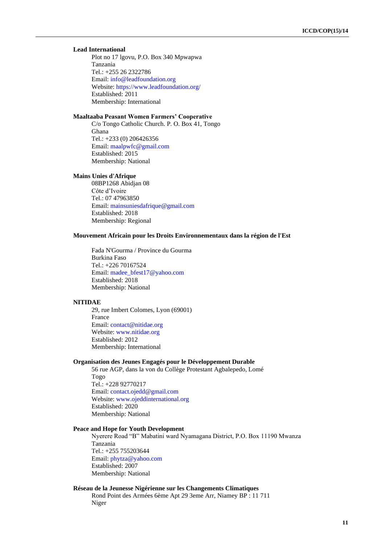## **Lead International**

Plot no 17 lgovu, P.O. Box 340 Mpwapwa Tanzania Tel.: +255 26 2322786 Email: [info@leadfoundation.org](mailto:info@leadfoundation.org) Website:<https://www.leadfoundation.org/> Established: 2011 Membership: International

### **Maaltaaba Peasant Women Farmers' Cooperative**

C/o Tongo Catholic Church. P. O. Box 41, Tongo Ghana Tel.: +233 (0) 206426356 Email: [maalpwfc@gmail.com](mailto:maalpwfc@gmail.com) Established: 2015 Membership: National

#### **Mains Unies d'Afrique**

08BP1268 Abidjan 08 Côte d'Ivoire Tel.: 07 47963850 Email: [mainsuniesdafrique@gmail.com](mailto:mainsuniesdafrique@gmail.com) Established: 2018 Membership: Regional

#### **Mouvement Africain pour les Droits Environnementaux dans la région de l'Est**

Fada N'Gourma / Province du Gourma Burkina Faso Tel.: +226 70167524 Email: [madee\\_bfest17@yahoo.com](mailto:madee_bfest17@yahoo.com) Established: 2018 Membership: National

#### **NITIDAE**

29, rue Imbert Colomes, Lyon (69001) France Email: [contact@nitidae.org](mailto:contact@nitidae.org) Website: [www.nitidae.org](http://www.nitidae.org/) Established: 2012 Membership: International

#### **Organisation des Jeunes Engagés pour le Développement Durable**

56 rue AGP, dans la von du Collège Protestant Agbalepedo, Lomé Togo Tel.: +228 92770217 Email: [contact.ojedd@gmail.com](mailto:contact.ojedd@gmail.com) Website: [www.ojeddinternational.org](http://www.ojeddinternational.org/) Established: 2020 Membership: National

## **Peace and Hope for Youth Development**

Nyerere Road "B" Mabatini ward Nyamagana District, P.O. Box 11190 Mwanza Tanzania Tel.: +255 755203644 Email: [phytza@yahoo.com](mailto:phytza@yahoo.com) Established: 2007 Membership: National

#### **Réseau de la Jeunesse Nigérienne sur les Changements Climatiques**

Rond Point des Armées 6ème Apt 29 3eme Arr, Niamey BP : 11 711 Niger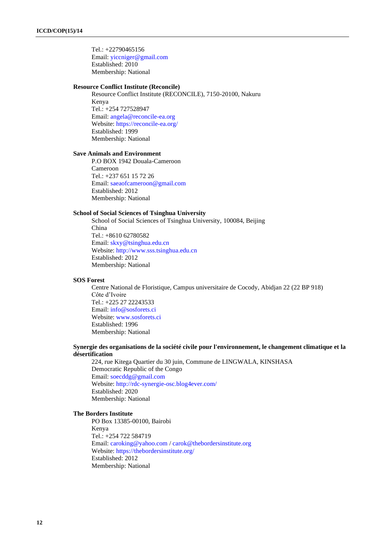Tel.: +22790465156 Email: [yiccniger@gmail.com](mailto:yiccniger@gmail.com) Established: 2010 Membership: National

#### **Resource Conflict Institute (Reconcile)**

Resource Conflict Institute (RECONCILE), 7150-20100, Nakuru Kenya Tel.: +254 727528947 Email: [angela@reconcile-ea.org](mailto:angela@reconcile-ea.org) Website:<https://reconcile-ea.org/> Established: 1999 Membership: National

#### **Save Animals and Environment**

P.O BOX 1942 Douala-Cameroon Cameroon Tel.: +237 651 15 72 26 Email: [saeaofcameroon@gmail.com](mailto:saeaofcameroon@gmail.com) Established: 2012 Membership: National

#### **School of Social Sciences of Tsinghua University**

School of Social Sciences of Tsinghua University, 100084, Beijing China Tel.: +8610 62780582 Email: [skxy@tsinghua.edu.cn](mailto:skxy@tsinghua.edu.cn) Website: [http://www.sss.tsinghua.edu.cn](http://www.sss.tsinghua.edu.cn/) Established: 2012 Membership: National

### **SOS Forest**

Centre National de Floristique, Campus universitaire de Cocody, Abidjan 22 (22 BP 918) Côte d'Ivoire Tel.: +225 27 22243533 Email: [info@sosforets.ci](mailto:info@sosforets.ci) Website: [www.sosforets.ci](http://www.sosforets.ci/) Established: 1996 Membership: National

## **Synergie des organisations de la société civile pour l'environnement, le changement climatique et la désertification**

224, rue Kitega Quartier du 30 juin, Commune de LINGWALA, KINSHASA Democratic Republic of the Congo Email: [soecddg@gmail.com](mailto:soecddg@gmail.com) Website:<http://rdc-synergie-osc.blog4ever.com/> Established: 2020 Membership: National

#### **The Borders Institute**

PO Box 13385-00100, Bairobi Kenya Tel.: +254 722 584719 Email: [caroking@yahoo.com](mailto:caroking@yahoo.com) / [carok@thebordersinstitute.org](mailto:carok@thebordersinstitute.org) Website:<https://thebordersinstitute.org/> Established: 2012 Membership: National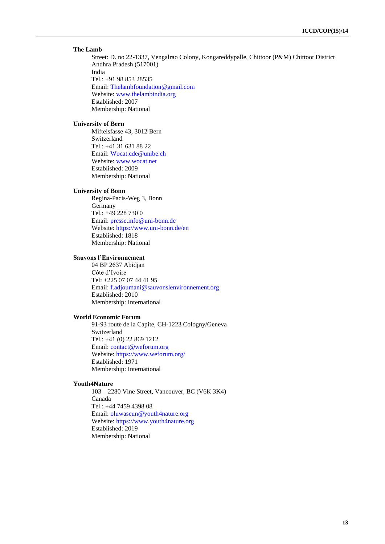#### **The Lamb**

Street: D. no 22-1337, Vengalrao Colony, Kongareddypalle, Chittoor (P&M) Chittoot District Andhra Pradesh (517001) India Tel.: +91 98 853 28535 Email: [Thelambfoundation@gmail.com](mailto:Thelambfoundation@gmail.com) Website: [www.thelambindia.org](http://www.thelambindia.org/) Established: 2007 Membership: National

#### **University of Bern**

Miftelsfasse 43, 3012 Bern Switzerland Tel.: +41 31 631 88 22 Email: [Wocat.cde@unibe.ch](mailto:Wocat.cde@unibe.ch) Website: [www.wocat.net](http://www.wocat.net/) Established: 2009 Membership: National

### **University of Bonn**

Regina-Pacis-Weg 3, Bonn Germany Tel.: +49 228 730 0 Email: [presse.info@uni-bonn.de](mailto:presse.info@uni-bonn.de) Website:<https://www.uni-bonn.de/en> Established: 1818 Membership: National

### **Sauvons l'Environnement**

04 BP 2637 Abidjan Côte d'Ivoire Tel: +225 07 07 44 41 95 Email: [f.adjoumani@sauvonslenvironnement.org](mailto:f.adjoumani@sauvonslenvironnement.org) Established: 2010 Membership: International

### **World Economic Forum**

91-93 route de la Capite, CH-1223 Cologny/Geneva Switzerland Tel.: +41 (0) 22 869 1212 Email: [contact@weforum.org](mailto:contact@weforum.org) Website:<https://www.weforum.org/> Established: 1971 Membership: International

#### **Youth4Nature**

103 – 2280 Vine Street, Vancouver, BC (V6K 3K4) Canada Tel.: +44 7459 4398 08 Email: [oluwaseun@youth4nature.org](mailto:oluwaseun@youth4nature.org) Website: [https://www.youth4nature.org](https://www.youth4nature.org/) Established: 2019 Membership: National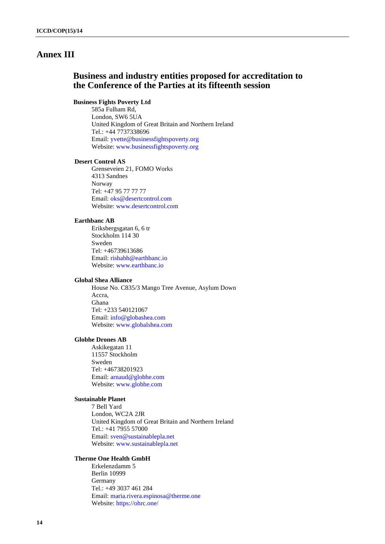## **Annex III**

## **Business and industry entities proposed for accreditation to the Conference of the Parties at its fifteenth session**

## **Business Fights Poverty Ltd**

585a Fulham Rd, London, SW6 5UA United Kingdom of Great Britain and Northern Ireland Tel.: +44 7737338696 Email: [yvette@businessfightspoverty.org](mailto:yvette@businessfightspoverty.org) Website: [www.businessfightspoverty.org](http://www.businessfightspoverty.org/)

### **Desert Control AS**

Grenseveien 21, FOMO Works 4313 Sandnes Norway Tel: +47 95 77 77 77 Email: [oks@desertcontrol.com](mailto:oks@desertcontrol.com) Website: [www.desertcontrol.com](http://www.desertcontrol.com/)

#### **Earthbanc AB**

Eriksbergsgatan 6, 6 tr Stockholm 114 30 Sweden Tel: +46739613686 Email: [rishabh@earthbanc.io](mailto:rishabh@earthbanc.io) Website: [www.earthbanc.io](http://www.earthbanc.io/)

## **Global Shea Alliance**

House No. C835/3 Mango Tree Avenue, Asylum Down Accra, Ghana Tel: +233 540121067 Email: [info@globashea.com](mailto:info@globashea.com) Website: [www.globalshea.com](http://www.globalshea.com/)

## **Globhe Drones AB**

Askikegatan 11 11557 Stockholm Sweden Tel: +46738201923 Email: [arnaud@globhe.com](mailto:arnaud@globhe.com) Website: [www.globhe.com](http://www.globhe.com/)

## **Sustainable Planet**

7 Bell Yard London, WC2A 2JR United Kingdom of Great Britain and Northern Ireland Tel.: +41 7955 57000 Email: [sven@sustainablepla.net](mailto:sven@sustainablepla.net) Website: [www.sustainablepla.net](http://www.sustainablepla.net/)

#### **Therme One Health GmbH**

Erkelenzdamm 5 Berlin 10999 Germany Tel.: +49 3037 461 284 Email: [maria.rivera.espinosa@therme.one](mailto:maria.rivera.espinosa@therme.one) Website:<https://ohrc.one/>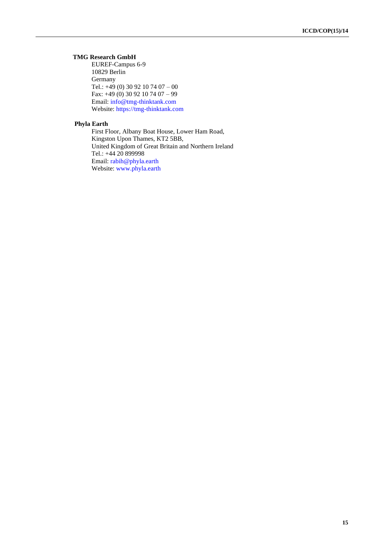## **TMG Research GmbH**

EUREF-Campus 6-9 10829 Berlin Germany Tel.: +49 (0) 30 92 10 74 07 – 00 Fax: +49 (0) 30 92 10 74 07 – 99 Email: [info@tmg-thinktank.com](mailto:info@tmg-thinktank.com) Website: [https://tmg-thinktank.com](https://tmg-thinktank.com/)

## **Phyla Earth**

First Floor, Albany Boat House, Lower Ham Road, Kingston Upon Thames, KT2 5BB, United Kingdom of Great Britain and Northern Ireland Tel.: +44 20 899998 Email: [rabih@phyla.earth](mailto:rabih@phyla.earth) Website: [www.phyla.earth](http://www.phyla.earth/)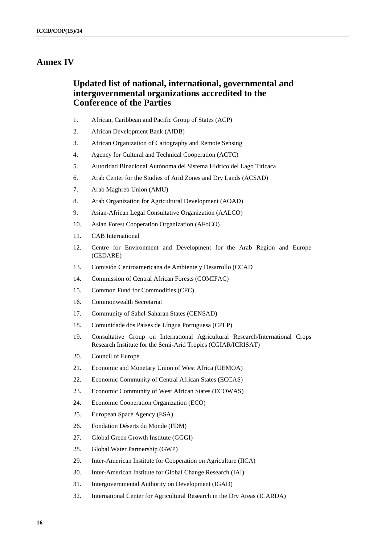## **Annex IV**

## **Updated list of national, international, governmental and intergovernmental organizations accredited to the Conference of the Parties**

- 1. African, Caribbean and Pacific Group of States (ACP)
- 2. African Development Bank (AfDB)
- 3. African Organization of Cartography and Remote Sensing
- 4. Agency for Cultural and Technical Cooperation (ACTC)
- 5. Autoridad Binacional Autónoma del Sistema Hídrico del Lago Titicaca
- 6. Arab Center for the Studies of Arid Zones and Dry Lands (ACSAD)
- 7. Arab Maghreb Union (AMU)
- 8. Arab Organization for Agricultural Development (AOAD)
- 9. Asian-African Legal Consultative Organization (AALCO)
- 10. Asian Forest Cooperation Organization (AFoCO)
- 11. CAB International
- 12. Centre for Environment and Development for the Arab Region and Europe (CEDARE)
- 13. Comisión Centroamericana de Ambiente y Desarrollo (CCAD
- 14. Commission of Central African Forests (COMIFAC)
- 15. Common Fund for Commodities (CFC)
- 16. Commonwealth Secretariat
- 17. Community of Sahel-Saharan States (CENSAD)
- 18. Comunidade dos Países de Língua Portuguesa (CPLP)
- 19. Consultative Group on International Agricultural Research/International Crops Research Institute for the Semi-Arid Tropics (CGIAR/ICRISAT)
- 20. Council of Europe
- 21. Economic and Monetary Union of West Africa (UEMOA)
- 22. Economic Community of Central African States (ECCAS)
- 23. Economic Community of West African States (ECOWAS)
- 24. Economic Cooperation Organization (ECO)
- 25. European Space Agency (ESA)
- 26. Fondation Déserts du Monde (FDM)
- 27. Global Green Growth Institute (GGGI)
- 28. Global Water Partnership (GWP)
- 29. Inter-American Institute for Cooperation on Agriculture (IICA)
- 30. Inter-American Institute for Global Change Research (IAI)
- 31. Intergovernmental Authority on Development (IGAD)
- 32. International Center for Agricultural Research in the Dry Areas (ICARDA)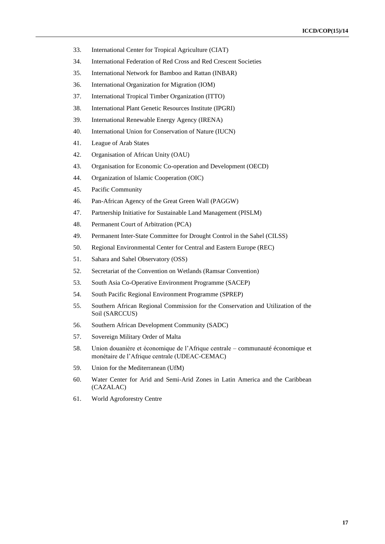- 33. International Center for Tropical Agriculture (CIAT)
- 34. International Federation of Red Cross and Red Crescent Societies
- 35. International Network for Bamboo and Rattan (INBAR)
- 36. International Organization for Migration (IOM)
- 37. International Tropical Timber Organization (ITTO)
- 38. International Plant Genetic Resources Institute (IPGRI)
- 39. International Renewable Energy Agency (IRENA)
- 40. International Union for Conservation of Nature (IUCN)
- 41. League of Arab States
- 42. Organisation of African Unity (OAU)
- 43. Organisation for Economic Co-operation and Development (OECD)
- 44. Organization of Islamic Cooperation (OIC)
- 45. Pacific Community
- 46. Pan-African Agency of the Great Green Wall (PAGGW)
- 47. Partnership Initiative for Sustainable Land Management (PISLM)
- 48. Permanent Court of Arbitration (PCA)
- 49. Permanent Inter-State Committee for Drought Control in the Sahel (CILSS)
- 50. Regional Environmental Center for Central and Eastern Europe (REC)
- 51. Sahara and Sahel Observatory (OSS)
- 52. Secretariat of the Convention on Wetlands (Ramsar Convention)
- 53. South Asia Co-Operative Environment Programme (SACEP)
- 54. South Pacific Regional Environment Programme (SPREP)
- 55. Southern African Regional Commission for the Conservation and Utilization of the Soil (SARCCUS)
- 56. Southern African Development Community (SADC)
- 57. Sovereign Military Order of Malta
- 58. Union douanière et économique de l'Afrique centrale communauté économique et monétaire de l'Afrique centrale (UDEAC-CEMAC)
- 59. Union for the Mediterranean (UfM)
- 60. Water Center for Arid and Semi-Arid Zones in Latin America and the Caribbean (CAZALAC)
- 61. World Agroforestry Centre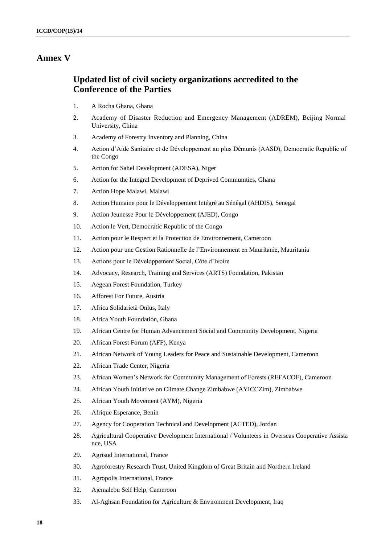## **Annex V**

## **Updated list of civil society organizations accredited to the Conference of the Parties**

- 1. A Rocha Ghana, Ghana
- 2. Academy of Disaster Reduction and Emergency Management (ADREM), Beijing Normal University, China
- 3. Academy of Forestry Inventory and Planning, China
- 4. Action d'Aide Sanitaire et de Développement au plus Démunis (AASD), Democratic Republic of the Congo
- 5. Action for Sahel Development (ADESA), Niger
- 6. Action for the Integral Development of Deprived Communities, Ghana
- 7. Action Hope Malawi, Malawi
- 8. Action Humaine pour le Développement Intégré au Sénégal (AHDIS), Senegal
- 9. Action Jeunesse Pour le Développement (AJED), Congo
- 10. Action le Vert, Democratic Republic of the Congo
- 11. Action pour le Respect et la Protection de Environnement, Cameroon
- 12. Action pour une Gestion Rationnelle de l'Environnement en Mauritanie, Mauritania
- 13. Actions pour le Développement Social, Côte d'Ivoire
- 14. Advocacy, Research, Training and Services (ARTS) Foundation, Pakistan
- 15. Aegean Forest Foundation, Turkey
- 16. Afforest For Future, Austria
- 17. Africa Solidarietà Onlus, Italy
- 18. Africa Youth Foundation, Ghana
- 19. African Centre for Human Advancement Social and Community Development, Nigeria
- 20. African Forest Forum (AFF), Kenya
- 21. African Network of Young Leaders for Peace and Sustainable Development, Cameroon
- 22. African Trade Center, Nigeria
- 23. African Women's Network for Community Management of Forests (REFACOF), Cameroon
- 24. African Youth Initiative on Climate Change Zimbabwe (AYICCZim), Zimbabwe
- 25. African Youth Movement (AYM), Nigeria
- 26. Afrique Esperance, Benin
- 27. Agency for Cooperation Technical and Development (ACTED), Jordan
- 28. Agricultural Cooperative Development International / Volunteers in Overseas Cooperative Assista nce, USA
- 29. Agrisud International, France
- 30. Agroforestry Research Trust, United Kingdom of Great Britain and Northern Ireland
- 31. Agropolis International, France
- 32. Ajemalebu Self Help, Cameroon
- 33. Al-Aghsan Foundation for Agriculture & Environment Development, Iraq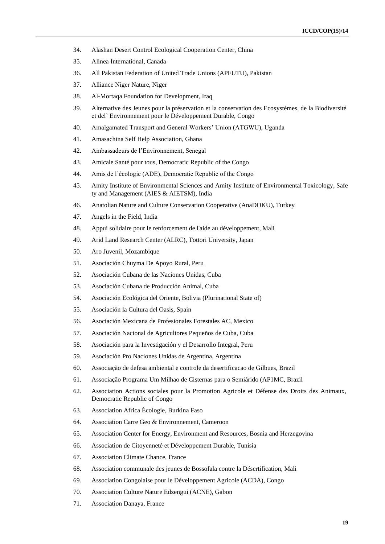- 34. Alashan Desert Control Ecological Cooperation Center, China
- 35. Alinea International, Canada
- 36. All Pakistan Federation of United Trade Unions (APFUTU), Pakistan
- 37. Alliance Niger Nature, Niger
- 38. Al-Mortaqa Foundation for Development, Iraq
- 39. Alternative des Jeunes pour la préservation et la conservation des Ecosystèmes, de la Biodiversité et del' Environnement pour le Développement Durable, Congo
- 40. Amalgamated Transport and General Workers' Union (ATGWU), Uganda
- 41. Amasachina Self Help Association, Ghana
- 42. Ambassadeurs de l'Environnement, Senegal
- 43. Amicale Santé pour tous, Democratic Republic of the Congo
- 44. Amis de l'écologie (ADE), Democratic Republic of the Congo
- 45. Amity Institute of Environmental Sciences and Amity Institute of Environmental Toxicology, Safe ty and Management (AIES & AIETSM), India
- 46. Anatolian Nature and Culture Conservation Cooperative (AnaDOKU), Turkey
- 47. Angels in the Field, India
- 48. Appui solidaire pour le renforcement de l'aide au développement, Mali
- 49. Arid Land Research Center (ALRC), Tottori University, Japan
- 50. Aro Juvenil, Mozambique
- 51. Asociación Chuyma De Apoyo Rural, Peru
- 52. Asociación Cubana de las Naciones Unidas, Cuba
- 53. Asociación Cubana de Producción Animal, Cuba
- 54. Asociación Ecológica del Oriente, Bolivia (Plurinational State of)
- 55. Asociación la Cultura del Oasis, Spain
- 56. Asociación Mexicana de Profesionales Forestales AC, Mexico
- 57. Asociación Nacional de Agricultores Pequeños de Cuba, Cuba
- 58. Asociación para la Investigación y el Desarrollo Integral, Peru
- 59. Asociación Pro Naciones Unidas de Argentina, Argentina
- 60. Associação de defesa ambiental e controle da desertificacao de Gilbues, Brazil
- 61. Associação Programa Um Milhao de Cisternas para o Semiárido (AP1MC, Brazil
- 62. Association Actions sociales pour la Promotion Agricole et Défense des Droits des Animaux, Democratic Republic of Congo
- 63. Association Africa Écologie, Burkina Faso
- 64. Association Carre Geo & Environnement, Cameroon
- 65. Association Center for Energy, Environment and Resources, Bosnia and Herzegovina
- 66. Association de Citoyenneté et Développement Durable, Tunisia
- 67. Association Climate Chance, France
- 68. Association communale des jeunes de Bossofala contre la Désertification, Mali
- 69. Association Congolaise pour le Développement Agricole (ACDA), Congo
- 70. Association Culture Nature Edzengui (ACNE), Gabon
- 71. Association Danaya, France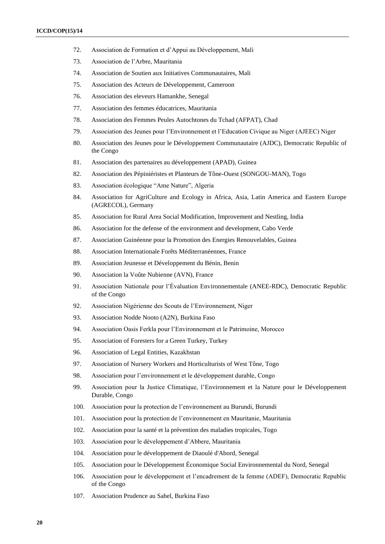- 72. Association de Formation et d'Appui au Développement, Mali
- 73. Association de l'Arbre, Mauritania
- 74. Association de Soutien aux Initiatives Communautaires, Mali
- 75. Association des Acteurs de Développement, Cameroon
- 76. Association des eleveurs Hamankhe, Senegal
- 77. Association des femmes éducatrices, Mauritania
- 78. Association des Femmes Peules Autochtones du Tchad (AFPAT), Chad
- 79. Association des Jeunes pour l'Environnement et l'Education Civique au Niger (AJEEC) Niger
- 80. Association des Jeunes pour le Développement Communautaire (AJDC), Democratic Republic of the Congo
- 81. Association des partenaires au développement (APAD), Guinea
- 82. Association des Pépiniéristes et Planteurs de Tône-Ouest (SONGOU-MAN), Togo
- 83. Association écologique "Ame Nature", Algeria
- 84. Association for AgriCulture and Ecology in Africa, Asia, Latin America and Eastern Europe (AGRECOL), Germany
- 85. Association for Rural Area Social Modification, Improvement and Nestling, India
- 86. Association for the defense of the environment and development, Cabo Verde
- 87. Association Guinéenne pour la Promotion des Energies Renouvelables, Guinea
- 88. Association Internationale Forêts Méditerranéennes, France
- 89. Association Jeunesse et Développement du Bénin, Benin
- 90. Association la Voûte Nubienne (AVN), France
- 91. Association Nationale pour l'Évaluation Environnementale (ANEE-RDC), Democratic Republic of the Congo
- 92. Association Nigérienne des Scouts de l'Environnement, Niger
- 93. Association Nodde Nooto (A2N), Burkina Faso
- 94. Association Oasis Ferkla pour l'Environnement et le Patrimoine, Morocco
- 95. Association of Foresters for a Green Turkey, Turkey
- 96. Association of Legal Entities, Kazakhstan
- 97. Association of Nursery Workers and Horticulturists of West Tône, Togo
- 98. Association pour l'environnement et le développement durable, Congo
- 99. Association pour la Justice Climatique, l'Environnement et la Nature pour le Développement Durable, Congo
- 100. Association pour la protection de l'environnement au Burundi, Burundi
- 101. Association pour la protection de l'environnement en Mauritanie, Mauritania
- 102. Association pour la santé et la prévention des maladies tropicales, Togo
- 103. Association pour le développement d'Abbere, Mauritania
- 104. Association pour le développement de Diaoulé d'Abord, Senegal
- 105. Association pour le Développement Économique Social Environnemental du Nord, Senegal
- 106. Association pour le développement et l'encadrement de la femme (ADEF), Democratic Republic of the Congo
- 107. Association Prudence au Sahel, Burkina Faso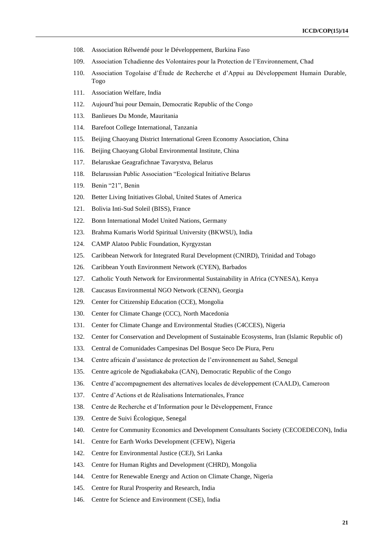- 108. Association Rélwendé pour le Développement, Burkina Faso
- 109. Association Tchadienne des Volontaires pour la Protection de l'Environnement, Chad
- 110. Association Togolaise d'Étude de Recherche et d'Appui au Développement Humain Durable, Togo
- 111. Association Welfare, India
- 112. Aujourd'hui pour Demain, Democratic Republic of the Congo
- 113. Banlieues Du Monde, Mauritania
- 114. Barefoot College International, Tanzania
- 115. Beijing Chaoyang District International Green Economy Association, China
- 116. Beijing Chaoyang Global Environmental Institute, China
- 117. Belaruskae Geagrafichnae Tavarystva, Belarus
- 118. Belarussian Public Association "Ecological Initiative Belarus
- 119. Benin "21", Benin
- 120. Better Living Initiatives Global, United States of America
- 121. Bolivia Inti-Sud Soleil (BISS), France
- 122. Bonn International Model United Nations, Germany
- 123. Brahma Kumaris World Spiritual University (BKWSU), India
- 124. CAMP Alatoo Public Foundation, Kyrgyzstan
- 125. Caribbean Network for Integrated Rural Development (CNIRD), Trinidad and Tobago
- 126. Caribbean Youth Environment Network (CYEN), Barbados
- 127. Catholic Youth Network for Environmental Sustainability in Africa (CYNESA), Kenya
- 128. Caucasus Environmental NGO Network (CENN), Georgia
- 129. Center for Citizenship Education (CCE), Mongolia
- 130. Center for Climate Change (CCC), North Macedonia
- 131. Center for Climate Change and Environmental Studies (C4CCES), Nigeria
- 132. Center for Conservation and Development of Sustainable Ecosystems, Iran (Islamic Republic of)
- 133. Central de Comunidades Campesinas Del Bosque Seco De Piura, Peru
- 134. Centre africain d'assistance de protection de l'environnement au Sahel, Senegal
- 135. Centre agricole de Ngudiakabaka (CAN), Democratic Republic of the Congo
- 136. Centre d'accompagnement des alternatives locales de développement (CAALD), Cameroon
- 137. Centre d'Actions et de Réalisations Internationales, France
- 138. Centre de Recherche et d'Information pour le Développement, France
- 139. Centre de Suivi Écologique, Senegal
- 140. Centre for Community Economics and Development Consultants Society (CECOEDECON), India
- 141. Centre for Earth Works Development (CFEW), Nigeria
- 142. Centre for Environmental Justice (CEJ), Sri Lanka
- 143. Centre for Human Rights and Development (CHRD), Mongolia
- 144. Centre for Renewable Energy and Action on Climate Change, Nigeria
- 145. Centre for Rural Prosperity and Research, India
- 146. Centre for Science and Environment (CSE), India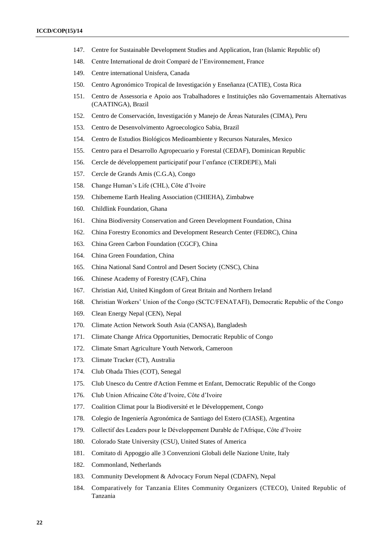- 147. Centre for Sustainable Development Studies and Application, Iran (Islamic Republic of)
- 148. Centre International de droit Comparé de l'Environnement, France
- 149. Centre international Unisfera, Canada
- 150. Centro Agronómico Tropical de Investigación y Enseñanza (CATIE), Costa Rica
- 151. Centro de Assessoria e Apoio aos Trabalhadores e Instituições não Governamentais Alternativas (CAATINGA), Brazil
- 152. Centro de Conservación, Investigación y Manejo de Áreas Naturales (CIMA), Peru
- 153. Centro de Desenvolvimento Agroecologico Sabia, Brazil
- 154. Centro de Estudios Biológicos Medioambiente y Recursos Naturales, Mexico
- 155. Centro para el Desarrollo Agropecuario y Forestal (CEDAF), Dominican Republic
- 156. Cercle de développement participatif pour l'enfance (CERDEPE), Mali
- 157. Cercle de Grands Amis (C.G.A), Congo
- 158. Change Human's Life (CHL), Côte d'Ivoire
- 159. Chibememe Earth Healing Association (CHIEHA), Zimbabwe
- 160. Childlink Foundation, Ghana
- 161. China Biodiversity Conservation and Green Development Foundation, China
- 162. China Forestry Economics and Development Research Center (FEDRC), China
- 163. China Green Carbon Foundation (CGCF), China
- 164. China Green Foundation, China
- 165. China National Sand Control and Desert Society (CNSC), China
- 166. Chinese Academy of Forestry (CAF), China
- 167. Christian Aid, United Kingdom of Great Britain and Northern Ireland
- 168. Christian Workers' Union of the Congo (SCTC/FENATAFI), Democratic Republic of the Congo
- 169. Clean Energy Nepal (CEN), Nepal
- 170. Climate Action Network South Asia (CANSA), Bangladesh
- 171. Climate Change Africa Opportunities, Democratic Republic of Congo
- 172. Climate Smart Agriculture Youth Network, Cameroon
- 173. Climate Tracker (CT), Australia
- 174. Club Ohada Thies (COT), Senegal
- 175. Club Unesco du Centre d'Action Femme et Enfant, Democratic Republic of the Congo
- 176. Club Union Africaine Côte d'Ivoire, Côte d'Ivoire
- 177. Coalition Climat pour la Biodiversité et le Développement, Congo
- 178. Colegio de Ingeniería Agronómica de Santiago del Estero (CIASE), Argentina
- 179. Collectif des Leaders pour le Développement Durable de l'Afrique, Côte d'Ivoire
- 180. Colorado State University (CSU), United States of America
- 181. Comitato di Appoggio alle 3 Convenzioni Globali delle Nazione Unite, Italy
- 182. Commonland, Netherlands
- 183. Community Development & Advocacy Forum Nepal (CDAFN), Nepal
- 184. Comparatively for Tanzania Elites Community Organizers (CTECO), United Republic of Tanzania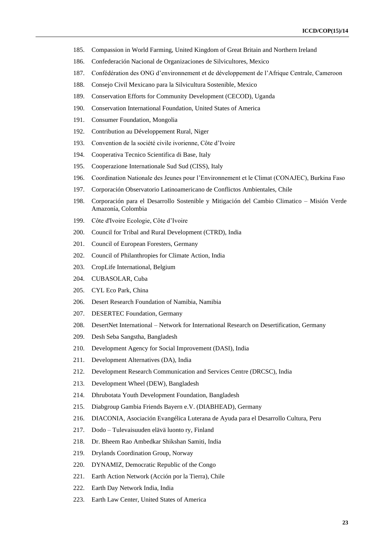- 185. Compassion in World Farming, United Kingdom of Great Britain and Northern Ireland
- 186. Confederación Nacional de Organizaciones de Silvicultores, Mexico
- 187. Confédération des ONG d'environnement et de développement de l'Afrique Centrale, Cameroon
- 188. Consejo Civil Mexicano para la Silvicultura Sostenible, Mexico
- 189. Conservation Efforts for Community Development (CECOD), Uganda
- 190. Conservation International Foundation, United States of America
- 191. Consumer Foundation, Mongolia
- 192. Contribution au Développement Rural, Niger
- 193. Convention de la société civile ivorienne, Côte d'Ivoire
- 194. Cooperativa Tecnico Scientifica di Base, Italy
- 195. Cooperazione Internationale Sud Sud (CISS), Italy
- 196. Coordination Nationale des Jeunes pour l'Environnement et le Climat (CONAJEC), Burkina Faso
- 197. Corporación Observatorio Latinoamericano de Conflictos Ambientales, Chile
- 198. Corporación para el Desarrollo Sostenible y Mitigación del Cambio Climatico Misión Verde Amazonía, Colombia
- 199. Côte d'Ivoire Ecologie, Côte d'Ivoire
- 200. Council for Tribal and Rural Development (CTRD), India
- 201. Council of European Foresters, Germany
- 202. Council of Philanthropies for Climate Action, India
- 203. CropLife International, Belgium
- 204. CUBASOLAR, Cuba
- 205. CYL Eco Park, China
- 206. Desert Research Foundation of Namibia, Namibia
- 207. DESERTEC Foundation, Germany
- 208. DesertNet International Network for International Research on Desertification, Germany
- 209. Desh Seba Sangstha, Bangladesh
- 210. Development Agency for Social Improvement (DASI), India
- 211. Development Alternatives (DA), India
- 212. Development Research Communication and Services Centre (DRCSC), India
- 213. Development Wheel (DEW), Bangladesh
- 214. Dhrubotata Youth Development Foundation, Bangladesh
- 215. Diabgroup Gambia Friends Bayern e.V. (DIABHEAD), Germany
- 216. DIACONIA, Asociación Evangélica Luterana de Ayuda para el Desarrollo Cultura, Peru
- 217. Dodo Tulevaisuuden elävä luonto ry, Finland
- 218. Dr. Bheem Rao Ambedkar Shikshan Samiti, India
- 219. Drylands Coordination Group, Norway
- 220. DYNAMIZ, Democratic Republic of the Congo
- 221. Earth Action Network (Acción por la Tierra), Chile
- 222. Earth Day Network India, India
- 223. Earth Law Center, United States of America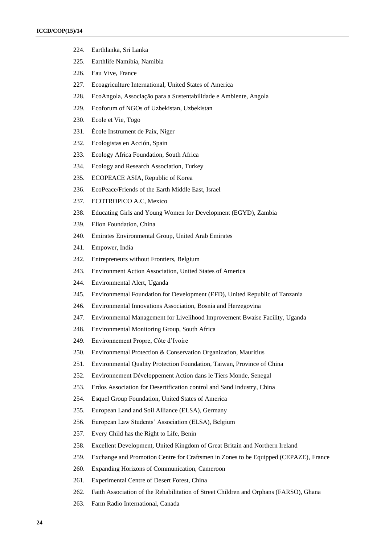- 224. Earthlanka, Sri Lanka
- 225. Earthlife Namibia, Namibia
- 226. Eau Vive, France
- 227. Ecoagriculture International, United States of America
- 228. EcoAngola, Associação para a Sustentabilidade e Ambiente, Angola
- 229. Ecoforum of NGOs of Uzbekistan, Uzbekistan
- 230. Ecole et Vie, Togo
- 231. École Instrument de Paix, Niger
- 232. Ecologistas en Acción, Spain
- 233. Ecology Africa Foundation, South Africa
- 234. Ecology and Research Association, Turkey
- 235. ECOPEACE ASIA, Republic of Korea
- 236. EcoPeace/Friends of the Earth Middle East, Israel
- 237. ECOTROPICO A.C, Mexico
- 238. Educating Girls and Young Women for Development (EGYD), Zambia
- 239. Elion Foundation, China
- 240. Emirates Environmental Group, United Arab Emirates
- 241. Empower, India
- 242. Entrepreneurs without Frontiers, Belgium
- 243. Environment Action Association, United States of America
- 244. Environmental Alert, Uganda
- 245. Environmental Foundation for Development (EFD), United Republic of Tanzania
- 246. Environmental Innovations Association, Bosnia and Herzegovina
- 247. Environmental Management for Livelihood Improvement Bwaise Facility, Uganda
- 248. Environmental Monitoring Group, South Africa
- 249. Environnement Propre, Côte d'Ivoire
- 250. Environmental Protection & Conservation Organization, Mauritius
- 251. Environmental Quality Protection Foundation, Taiwan, Province of China
- 252. Environnement Développement Action dans le Tiers Monde, Senegal
- 253. Erdos Association for Desertification control and Sand Industry, China
- 254. Esquel Group Foundation, United States of America
- 255. European Land and Soil Alliance (ELSA), Germany
- 256. European Law Students' Association (ELSA), Belgium
- 257. Every Child has the Right to Life, Benin
- 258. Excellent Development, United Kingdom of Great Britain and Northern Ireland
- 259. Exchange and Promotion Centre for Craftsmen in Zones to be Equipped (CEPAZE), France
- 260. Expanding Horizons of Communication, Cameroon
- 261. Experimental Centre of Desert Forest, China
- 262. Faith Association of the Rehabilitation of Street Children and Orphans (FARSO), Ghana
- 263. Farm Radio International, Canada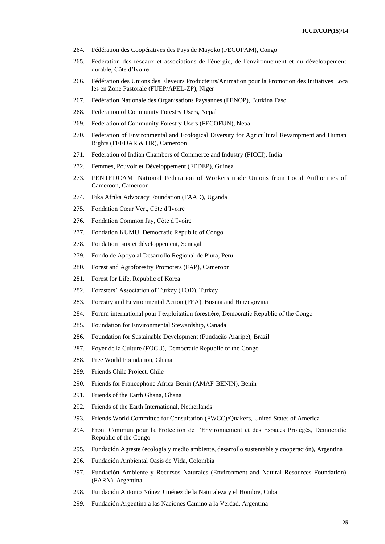- 264. Fédération des Coopératives des Pays de Mayoko (FECOPAM), Congo
- 265. Fédération des réseaux et associations de l'énergie, de l'environnement et du développement durable, Côte d'Ivoire
- 266. Fédération des Unions des Eleveurs Producteurs/Animation pour la Promotion des Initiatives Loca les en Zone Pastorale (FUEP/APEL-ZP), Niger
- 267. Fédération Nationale des Organisations Paysannes (FENOP), Burkina Faso
- 268. Federation of Community Forestry Users, Nepal
- 269. Federation of Community Forestry Users (FECOFUN), Nepal
- 270. Federation of Environmental and Ecological Diversity for Agricultural Revampment and Human Rights (FEEDAR & HR), Cameroon
- 271. Federation of Indian Chambers of Commerce and Industry (FICCI), India
- 272. Femmes, Pouvoir et Développement (FEDEP), Guinea
- 273. FENTEDCAM: National Federation of Workers trade Unions from Local Authorities of Cameroon, Cameroon
- 274. Fika Afrika Advocacy Foundation (FAAD), Uganda
- 275. Fondation Cœur Vert, Côte d'Ivoire
- 276. Fondation Common Jay, Côte d'Ivoire
- 277. Fondation KUMU, Democratic Republic of Congo
- 278. Fondation paix et développement, Senegal
- 279. Fondo de Apoyo al Desarrollo Regional de Piura, Peru
- 280. Forest and Agroforestry Promoters (FAP), Cameroon
- 281. Forest for Life, Republic of Korea
- 282. Foresters' Association of Turkey (TOD), Turkey
- 283. Forestry and Environmental Action (FEA), Bosnia and Herzegovina
- 284. Forum international pour l'exploitation forestière, Democratic Republic of the Congo
- 285. Foundation for Environmental Stewardship, Canada
- 286. Foundation for Sustainable Development (Fundação Araripe), Brazil
- 287. Foyer de la Culture (FOCU), Democratic Republic of the Congo
- 288. Free World Foundation, Ghana
- 289. Friends Chile Project, Chile
- 290. Friends for Francophone Africa-Benin (AMAF-BENIN), Benin
- 291. Friends of the Earth Ghana, Ghana
- 292. Friends of the Earth International, Netherlands
- 293. Friends World Committee for Consultation (FWCC)/Quakers, United States of America
- 294. Front Commun pour la Protection de l'Environnement et des Espaces Protégés, Democratic Republic of the Congo
- 295. Fundación Agreste (ecología y medio ambiente, desarrollo sustentable y cooperación), Argentina
- 296. Fundación Ambiental Oasis de Vida, Colombia
- 297. Fundación Ambiente y Recursos Naturales (Environment and Natural Resources Foundation) (FARN), Argentina
- 298. Fundación Antonio Núñez Jiménez de la Naturaleza y el Hombre, Cuba
- 299. Fundación Argentina a las Naciones Camino a la Verdad, Argentina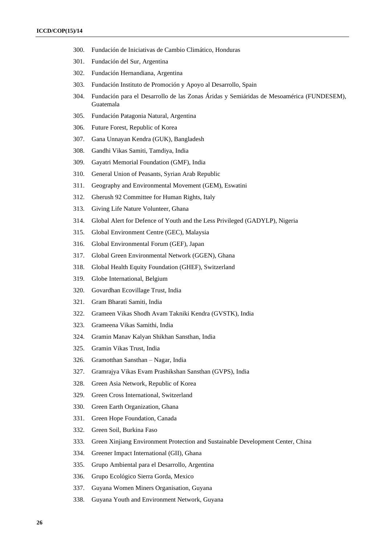- 300. Fundación de Iniciativas de Cambio Climático, Honduras
- 301. Fundación del Sur, Argentina
- 302. Fundación Hernandiana, Argentina
- 303. Fundación Instituto de Promoción y Apoyo al Desarrollo, Spain
- 304. Fundación para el Desarrollo de las Zonas Áridas y Semiáridas de Mesoamérica (FUNDESEM), Guatemala
- 305. Fundación Patagonia Natural, Argentina
- 306. Future Forest, Republic of Korea
- 307. Gana Unnayan Kendra (GUK), Bangladesh
- 308. Gandhi Vikas Samiti, Tamdiya, India
- 309. Gayatri Memorial Foundation (GMF), India
- 310. General Union of Peasants, Syrian Arab Republic
- 311. Geography and Environmental Movement (GEM), Eswatini
- 312. Gherush 92 Committee for Human Rights, Italy
- 313. Giving Life Nature Volunteer, Ghana
- 314. Global Alert for Defence of Youth and the Less Privileged (GADYLP), Nigeria
- 315. Global Environment Centre (GEC), Malaysia
- 316. Global Environmental Forum (GEF), Japan
- 317. Global Green Environmental Network (GGEN), Ghana
- 318. Global Health Equity Foundation (GHEF), Switzerland
- 319. Globe International, Belgium
- 320. Govardhan Ecovillage Trust, India
- 321. Gram Bharati Samiti, India
- 322. Grameen Vikas Shodh Avam Takniki Kendra (GVSTK), India
- 323. Grameena Vikas Samithi, India
- 324. Gramin Manav Kalyan Shikhan Sansthan, India
- 325. Gramin Vikas Trust, India
- 326. Gramotthan Sansthan Nagar, India
- 327. Gramrajya Vikas Evam Prashikshan Sansthan (GVPS), India
- 328. Green Asia Network, Republic of Korea
- 329. Green Cross International, Switzerland
- 330. Green Earth Organization, Ghana
- 331. Green Hope Foundation, Canada
- 332. Green Soil, Burkina Faso
- 333. Green Xinjiang Environment Protection and Sustainable Development Center, China
- 334. Greener Impact International (GII), Ghana
- 335. Grupo Ambiental para el Desarrollo, Argentina
- 336. Grupo Ecológico Sierra Gorda, Mexico
- 337. Guyana Women Miners Organisation, Guyana
- 338. Guyana Youth and Environment Network, Guyana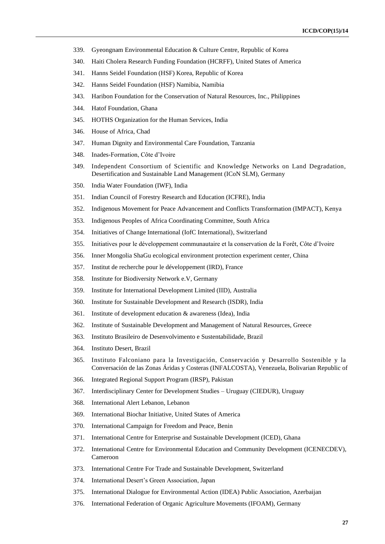- 339. Gyeongnam Environmental Education & Culture Centre, Republic of Korea
- 340. Haiti Cholera Research Funding Foundation (HCRFF), United States of America
- 341. Hanns Seidel Foundation (HSF) Korea, Republic of Korea
- 342. Hanns Seidel Foundation (HSF) Namibia, Namibia
- 343. Haribon Foundation for the Conservation of Natural Resources, Inc., Philippines
- 344. Hatof Foundation, Ghana
- 345. HOTHS Organization for the Human Services, India
- 346. House of Africa, Chad
- 347. Human Dignity and Environmental Care Foundation, Tanzania
- 348. Inades-Formation, Côte d'Ivoire
- 349. Independent Consortium of Scientific and Knowledge Networks on Land Degradation, Desertification and Sustainable Land Management (ICoN SLM), Germany
- 350. India Water Foundation (IWF), India
- 351. Indian Council of Forestry Research and Education (ICFRE), India
- 352. Indigenous Movement for Peace Advancement and Conflicts Transformation (IMPACT), Kenya
- 353. Indigenous Peoples of Africa Coordinating Committee, South Africa
- 354. Initiatives of Change International (IofC International), Switzerland
- 355. Initiatives pour le développement communautaire et la conservation de la Forêt, Côte d'Ivoire
- 356. Inner Mongolia ShaGu ecological environment protection experiment center, China
- 357. Institut de recherche pour le développement (IRD), France
- 358. Institute for Biodiversity Network e.V, Germany
- 359. Institute for International Development Limited (IID), Australia
- 360. Institute for Sustainable Development and Research (ISDR), India
- 361. Institute of development education & awareness (Idea), India
- 362. Institute of Sustainable Development and Management of Natural Resources, Greece
- 363. Instituto Brasileiro de Desenvolvimento e Sustentabilidade, Brazil
- 364. Instituto Desert, Brazil
- 365. Instituto Falconiano para la Investigación, Conservación y Desarrollo Sostenible y la Conversación de las Zonas Áridas y Costeras (INFALCOSTA), Venezuela, Bolivarian Republic of
- 366. Integrated Regional Support Program (IRSP), Pakistan
- 367. Interdisciplinary Center for Development Studies Uruguay (CIEDUR), Uruguay
- 368. International Alert Lebanon, Lebanon
- 369. International Biochar Initiative, United States of America
- 370. International Campaign for Freedom and Peace, Benin
- 371. International Centre for Enterprise and Sustainable Development (ICED), Ghana
- 372. International Centre for Environmental Education and Community Development (ICENECDEV), Cameroon
- 373. International Centre For Trade and Sustainable Development, Switzerland
- 374. International Desert's Green Association, Japan
- 375. International Dialogue for Environmental Action (IDEA) Public Association, Azerbaijan
- 376. International Federation of Organic Agriculture Movements (IFOAM), Germany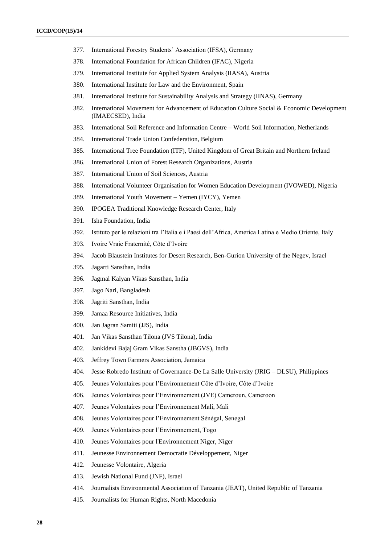- 377. International Forestry Students' Association (IFSA), Germany
- 378. International Foundation for African Children (IFAC), Nigeria
- 379. International Institute for Applied System Analysis (IIASA), Austria
- 380. International Institute for Law and the Environment, Spain
- 381. International Institute for Sustainability Analysis and Strategy (IINAS), Germany
- 382. International Movement for Advancement of Education Culture Social & Economic Development (IMAECSED), India
- 383. International Soil Reference and Information Centre World Soil Information, Netherlands
- 384. International Trade Union Confederation, Belgium
- 385. International Tree Foundation (ITF), United Kingdom of Great Britain and Northern Ireland
- 386. International Union of Forest Research Organizations, Austria
- 387. International Union of Soil Sciences, Austria
- 388. International Volunteer Organisation for Women Education Development (IVOWED), Nigeria
- 389. International Youth Movement Yemen (IYCY), Yemen
- 390. IPOGEA Traditional Knowledge Research Center, Italy
- 391. Isha Foundation, India
- 392. Istituto per le relazioni tra l'Italia e i Paesi dell'Africa, America Latina e Medio Oriente, Italy
- 393. Ivoire Vraie Fraternité, Côte d'Ivoire
- 394. Jacob Blaustein Institutes for Desert Research, Ben-Gurion University of the Negev, Israel
- 395. Jagarti Sansthan, India
- 396. Jagmal Kalyan Vikas Sansthan, India
- 397. Jago Nari, Bangladesh
- 398. Jagriti Sansthan, India
- 399. Jamaa Resource Initiatives, India
- 400. Jan Jagran Samiti (JJS), India
- 401. Jan Vikas Sansthan Tilona (JVS Tilona), India
- 402. Jankidevi Bajaj Gram Vikas Sanstha (JBGVS), India
- 403. Jeffrey Town Farmers Association, Jamaica
- 404. Jesse Robredo Institute of Governance-De La Salle University (JRIG DLSU), Philippines
- 405. Jeunes Volontaires pour l'Environnement Côte d'Ivoire, Côte d'Ivoire
- 406. Jeunes Volontaires pour l'Environnement (JVE) Cameroun, Cameroon
- 407. Jeunes Volontaires pour l'Environnement Mali, Mali
- 408. Jeunes Volontaires pour l'Environnement Sénégal, Senegal
- 409. Jeunes Volontaires pour l'Environnement, Togo
- 410. Jeunes Volontaires pour l'Environnement Niger, Niger
- 411. Jeunesse Environnement Democratie Développement, Niger
- 412. Jeunesse Volontaire, Algeria
- 413. Jewish National Fund (JNF), Israel
- 414. Journalists Environmental Association of Tanzania (JEAT), United Republic of Tanzania
- 415. Journalists for Human Rights, North Macedonia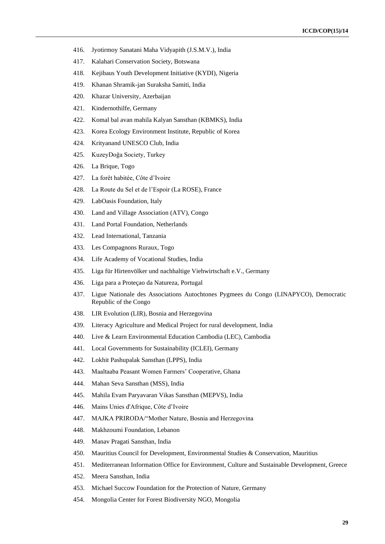- 416. Jyotirmoy Sanatani Maha Vidyapith (J.S.M.V.), India
- 417. Kalahari Conservation Society, Botswana
- 418. Kejibaus Youth Development Initiative (KYDI), Nigeria
- 419. Khanan Shramik-jan Suraksha Samiti, India
- 420. Khazar University, Azerbaijan
- 421. Kindernothilfe, Germany
- 422. Komal bal avan mahila Kalyan Sansthan (KBMKS), India
- 423. Korea Ecology Environment Institute, Republic of Korea
- 424. Krityanand UNESCO Club, India
- 425. KuzeyDoğa Society, Turkey
- 426. La Brique, Togo
- 427. La forêt habitée, Côte d'Ivoire
- 428. La Route du Sel et de l'Espoir (La ROSE), France
- 429. LabOasis Foundation, Italy
- 430. Land and Village Association (ATV), Congo
- 431. Land Portal Foundation, Netherlands
- 432. Lead International, Tanzania
- 433. Les Compagnons Ruraux, Togo
- 434. Life Academy of Vocational Studies, India
- 435. Liga für Hirtenvölker und nachhaltige Viehwirtschaft e.V., Germany
- 436. Liga para a Proteçao da Natureza, Portugal
- 437. Ligue Nationale des Associations Autochtones Pygmees du Congo (LINAPYCO), Democratic Republic of the Congo
- 438. LIR Evolution (LIR), Bosnia and Herzegovina
- 439. Literacy Agriculture and Medical Project for rural development, India
- 440. Live & Learn Environmental Education Cambodia (LEC), Cambodia
- 441. Local Governments for Sustainability (ICLEI), Germany
- 442. Lokhit Pashupalak Sansthan (LPPS), India
- 443. Maaltaaba Peasant Women Farmers' Cooperative, Ghana
- 444. Mahan Seva Sansthan (MSS), India
- 445. Mahila Evam Paryavaran Vikas Sansthan (MEPVS), India
- 446. Mains Unies d'Afrique, Côte d'Ivoire
- 447. MAJKA PRIRODA/"Mother Nature, Bosnia and Herzegovina
- 448. Makhzoumi Foundation, Lebanon
- 449. Manav Pragati Sansthan, India
- 450. Mauritius Council for Development, Environmental Studies & Conservation, Mauritius
- 451. Mediterranean Information Office for Environment, Culture and Sustainable Development, Greece
- 452. Meera Sansthan, India
- 453. Michael Succow Foundation for the Protection of Nature, Germany
- 454. Mongolia Center for Forest Biodiversity NGO, Mongolia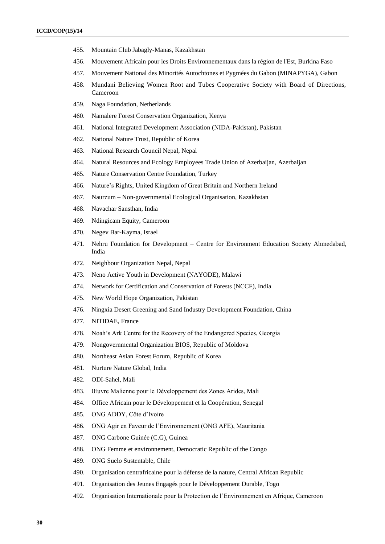- 455. Mountain Club Jabagly-Manas, Kazakhstan
- 456. Mouvement Africain pour les Droits Environnementaux dans la région de l'Est, Burkina Faso
- 457. Mouvement National des Minorités Autochtones et Pygmées du Gabon (MINAPYGA), Gabon
- 458. Mundani Believing Women Root and Tubes Cooperative Society with Board of Directions, Cameroon
- 459. Naga Foundation, Netherlands
- 460. Namalere Forest Conservation Organization, Kenya
- 461. National Integrated Development Association (NIDA-Pakistan), Pakistan
- 462. National Nature Trust, Republic of Korea
- 463. National Research Council Nepal, Nepal
- 464. Natural Resources and Ecology Employees Trade Union of Azerbaijan, Azerbaijan
- 465. Nature Conservation Centre Foundation, Turkey
- 466. Nature's Rights, United Kingdom of Great Britain and Northern Ireland
- 467. Naurzum Non-governmental Ecological Organisation, Kazakhstan
- 468. Navachar Sansthan, India
- 469. Ndingicam Equity, Cameroon
- 470. Negev Bar-Kayma, Israel
- 471. Nehru Foundation for Development Centre for Environment Education Society Ahmedabad, India
- 472. Neighbour Organization Nepal, Nepal
- 473. Neno Active Youth in Development (NAYODE), Malawi
- 474. Network for Certification and Conservation of Forests (NCCF), India
- 475. New World Hope Organization, Pakistan
- 476. Ningxia Desert Greening and Sand Industry Development Foundation, China
- 477. NITIDAE, France
- 478. Noah's Ark Centre for the Recovery of the Endangered Species, Georgia
- 479. Nongovernmental Organization BIOS, Republic of Moldova
- 480. Northeast Asian Forest Forum, Republic of Korea
- 481. Nurture Nature Global, India
- 482. ODI-Sahel, Mali
- 483. Œuvre Malienne pour le Développement des Zones Arides, Mali
- 484. Office Africain pour le Développement et la Coopération, Senegal
- 485. ONG ADDY, Côte d'Ivoire
- 486. ONG Agir en Faveur de l'Environnement (ONG AFE), Mauritania
- 487. ONG Carbone Guinée (C.G), Guinea
- 488. ONG Femme et environnement, Democratic Republic of the Congo
- 489. ONG Suelo Sustentable, Chile
- 490. Organisation centrafricaine pour la défense de la nature, Central African Republic
- 491. Organisation des Jeunes Engagés pour le Développement Durable, Togo
- 492. Organisation Internationale pour la Protection de l'Environnement en Afrique, Cameroon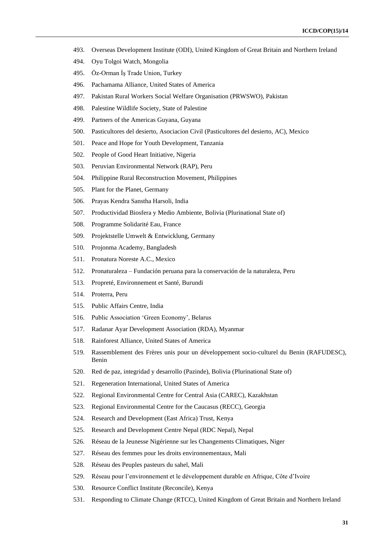- 493. Overseas Development Institute (ODI), United Kingdom of Great Britain and Northern Ireland
- 494. Oyu Tolgoi Watch, Mongolia
- 495. Öz-Orman İş Trade Union, Turkey
- 496. Pachamama Alliance, United States of America
- 497. Pakistan Rural Workers Social Welfare Organisation (PRWSWO), Pakistan
- 498. Palestine Wildlife Society, State of Palestine
- 499. Partners of the Americas Guyana, Guyana
- 500. Pasticultores del desierto, Asociacion Civil (Pasticultores del desierto, AC), Mexico
- 501. Peace and Hope for Youth Development, Tanzania
- 502. People of Good Heart Initiative, Nigeria
- 503. Peruvian Environmental Network (RAP), Peru
- 504. Philippine Rural Reconstruction Movement, Philippines
- 505. Plant for the Planet, Germany
- 506. Prayas Kendra Sanstha Harsoli, India
- 507. Productividad Biosfera y Medio Ambiente, Bolivia (Plurinational State of)
- 508. Programme Solidarité Eau, France
- 509. Projektstelle Umwelt & Entwicklung, Germany
- 510. Projonma Academy, Bangladesh
- 511. Pronatura Noreste A.C., Mexico
- 512. Pronaturaleza Fundación peruana para la conservación de la naturaleza, Peru
- 513. Propreté, Environnement et Santé, Burundi
- 514. Proterra, Peru
- 515. Public Affairs Centre, India
- 516. Public Association 'Green Economy', Belarus
- 517. Radanar Ayar Development Association (RDA), Myanmar
- 518. Rainforest Alliance, United States of America
- 519. Rassemblement des Frères unis pour un développement socio-culturel du Benin (RAFUDESC), Benin
- 520. Red de paz, integridad y desarrollo (Pazinde), Bolivia (Plurinational State of)
- 521. Regeneration International, United States of America
- 522. Regional Environmental Centre for Central Asia (CAREC), Kazakhstan
- 523. Regional Environmental Centre for the Caucasus (RECC), Georgia
- 524. Research and Development (East Africa) Trust, Kenya
- 525. Research and Development Centre Nepal (RDC Nepal), Nepal
- 526. Réseau de la Jeunesse Nigérienne sur les Changements Climatiques, Niger
- 527. Réseau des femmes pour les droits environnementaux, Mali
- 528. Réseau des Peuples pasteurs du sahel, Mali
- 529. Réseau pour l'environnement et le développement durable en Afrique, Côte d'Ivoire
- 530. Resource Conflict Institute (Reconcile), Kenya
- 531. Responding to Climate Change (RTCC), United Kingdom of Great Britain and Northern Ireland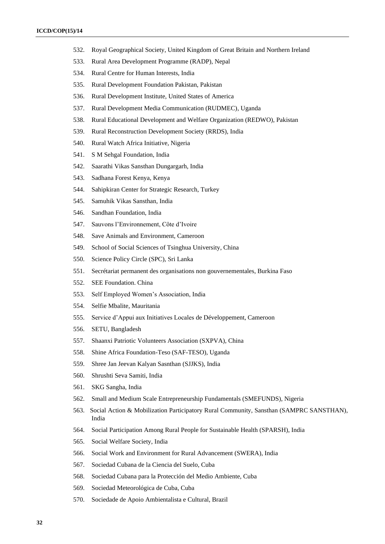- 532. Royal Geographical Society, United Kingdom of Great Britain and Northern Ireland
- 533. Rural Area Development Programme (RADP), Nepal
- 534. Rural Centre for Human Interests, India
- 535. Rural Development Foundation Pakistan, Pakistan
- 536. Rural Development Institute, United States of America
- 537. Rural Development Media Communication (RUDMEC), Uganda
- 538. Rural Educational Development and Welfare Organization (REDWO), Pakistan
- 539. Rural Reconstruction Development Society (RRDS), India
- 540. Rural Watch Africa Initiative, Nigeria
- 541. S M Sehgal Foundation, India
- 542. Saarathi Vikas Sansthan Dungargarh, India
- 543. Sadhana Forest Kenya, Kenya
- 544. Sahipkiran Center for Strategic Research, Turkey
- 545. Samuhik Vikas Sansthan, India
- 546. Sandhan Foundation, India
- 547. Sauvons l'Environnement, Côte d'Ivoire
- 548. Save Animals and Environment, Cameroon
- 549. School of Social Sciences of Tsinghua University, China
- 550. Science Policy Circle (SPC), Sri Lanka
- 551. Secrétariat permanent des organisations non gouvernementales, Burkina Faso
- 552. SEE Foundation. China
- 553. Self Employed Women's Association, India
- 554. Selfie Mbalite, Mauritania
- 555. Service d'Appui aux Initiatives Locales de Développement, Cameroon
- 556. SETU, Bangladesh
- 557. Shaanxi Patriotic Volunteers Association (SXPVA), China
- 558. Shine Africa Foundation-Teso (SAF-TESO), Uganda
- 559. Shree Jan Jeevan Kalyan Sasnthan (SJJKS), India
- 560. Shrushti Seva Samiti, India
- 561. SKG Sangha, India
- 562. Small and Medium Scale Entrepreneurship Fundamentals (SMEFUNDS), Nigeria
- 563. Social Action & Mobilization Participatory Rural Community, Sansthan (SAMPRC SANSTHAN), India
- 564. Social Participation Among Rural People for Sustainable Health (SPARSH), India
- 565. Social Welfare Society, India
- 566. Social Work and Environment for Rural Advancement (SWERA), India
- 567. Sociedad Cubana de la Ciencia del Suelo, Cuba
- 568. Sociedad Cubana para la Protección del Medio Ambiente, Cuba
- 569. Sociedad Meteorológica de Cuba, Cuba
- 570. Sociedade de Apoio Ambientalista e Cultural, Brazil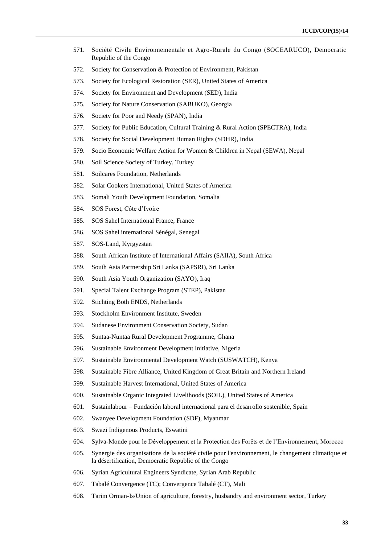- 571. Société Civile Environnementale et Agro-Rurale du Congo (SOCEARUCO), Democratic Republic of the Congo
- 572. Society for Conservation & Protection of Environment, Pakistan
- 573. Society for Ecological Restoration (SER), United States of America
- 574. Society for Environment and Development (SED), India
- 575. Society for Nature Conservation (SABUKO), Georgia
- 576. Society for Poor and Needy (SPAN), India
- 577. Society for Public Education, Cultural Training & Rural Action (SPECTRA), India
- 578. Society for Social Development Human Rights (SDHR), India
- 579. Socio Economic Welfare Action for Women & Children in Nepal (SEWA), Nepal
- 580. Soil Science Society of Turkey, Turkey
- 581. Soilcares Foundation, Netherlands
- 582. Solar Cookers International, United States of America
- 583. Somali Youth Development Foundation, Somalia
- 584. SOS Forest, Côte d'Ivoire
- 585. SOS Sahel International France, France
- 586. SOS Sahel international Sénégal, Senegal
- 587. SOS-Land, Kyrgyzstan
- 588. South African Institute of International Affairs (SAIIA), South Africa
- 589. South Asia Partnership Sri Lanka (SAPSRI), Sri Lanka
- 590. South Asia Youth Organization (SAYO), Iraq
- 591. Special Talent Exchange Program (STEP), Pakistan
- 592. Stichting Both ENDS, Netherlands
- 593. Stockholm Environment Institute, Sweden
- 594. Sudanese Environment Conservation Society, Sudan
- 595. Suntaa-Nuntaa Rural Development Programme, Ghana
- 596. Sustainable Environment Development Initiative, Nigeria
- 597. Sustainable Environmental Development Watch (SUSWATCH), Kenya
- 598. Sustainable Fibre Alliance, United Kingdom of Great Britain and Northern Ireland
- 599. Sustainable Harvest International, United States of America
- 600. Sustainable Organic Integrated Livelihoods (SOIL), United States of America
- 601. Sustainlabour Fundación laboral internacional para el desarrollo sostenible, Spain
- 602. Swanyee Development Foundation (SDF), Myanmar
- 603. Swazi Indigenous Products, Eswatini
- 604. Sylva-Monde pour le Développement et la Protection des Forêts et de l'Environnement, Morocco
- 605. Synergie des organisations de la société civile pour l'environnement, le changement climatique et la désertification, Democratic Republic of the Congo
- 606. Syrian Agricultural Engineers Syndicate, Syrian Arab Republic
- 607. Tabalé Convergence (TC); Convergence Tabalé (CT), Mali
- 608. Tarim Orman-Is/Union of agriculture, forestry, husbandry and environment sector, Turkey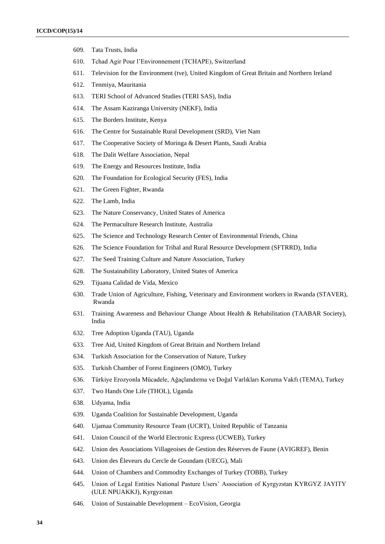- 609. Tata Trusts, India
- 610. Tchad Agir Pour l'Environnement (TCHAPE), Switzerland
- 611. Television for the Environment (tve), United Kingdom of Great Britain and Northern Ireland
- 612. Tenmiya, Mauritania
- 613. TERI School of Advanced Studies (TERI SAS), India
- 614. The Assam Kaziranga University (NEKF), India
- 615. The Borders Institute, Kenya
- 616. The Centre for Sustainable Rural Development (SRD), Viet Nam
- 617. The Cooperative Society of Moringa & Desert Plants, Saudi Arabia
- 618. The Dalit Welfare Association, Nepal
- 619. The Energy and Resources Institute, India
- 620. The Foundation for Ecological Security (FES), India
- 621. The Green Fighter, Rwanda
- 622. The Lamb, India
- 623. The Nature Conservancy, United States of America
- 624. The Permaculture Research Institute, Australia
- 625. The Science and Technology Research Center of Environmental Friends, China
- 626. The Science Foundation for Tribal and Rural Resource Development (SFTRRD), India
- 627. The Seed Training Culture and Nature Association, Turkey
- 628. The Sustainability Laboratory, United States of America
- 629. Tijuana Calidad de Vida, Mexico
- 630. Trade Union of Agriculture, Fishing, Veterinary and Environment workers in Rwanda (STAVER), Rwanda
- 631. Training Awareness and Behaviour Change About Health & Rehabilitation (TAABAR Society), India
- 632. Tree Adoption Uganda (TAU), Uganda
- 633. Tree Aid, United Kingdom of Great Britain and Northern Ireland
- 634. Turkish Association for the Conservation of Nature, Turkey
- 635. Turkish Chamber of Forest Engineers (OMO), Turkey
- 636. Türkiye Erozyonla Mücadele, Ağaçlandırma ve Doğal Varlıkları Koruma Vakfı (TEMA), Turkey
- 637. Two Hands One Life (THOL), Uganda
- 638. Udyama, India
- 639. Uganda Coalition for Sustainable Development, Uganda
- 640. Ujamaa Community Resource Team (UCRT), United Republic of Tanzania
- 641. Union Council of the World Electronic Express (UCWEB), Turkey
- 642. Union des Associations Villageoises de Gestion des Réserves de Faune (AVIGREF), Benin
- 643. Union des Éleveurs du Cercle de Goundam (UECG), Mali
- 644. Union of Chambers and Commodity Exchanges of Turkey (TOBB), Turkey
- 645. Union of Legal Entities National Pasture Users' Association of Kyrgyzstan KYRGYZ JAYITY (ULE NPUAKKJ), Kyrgyzstan
- 646. Union of Sustainable Development EcoVision, Georgia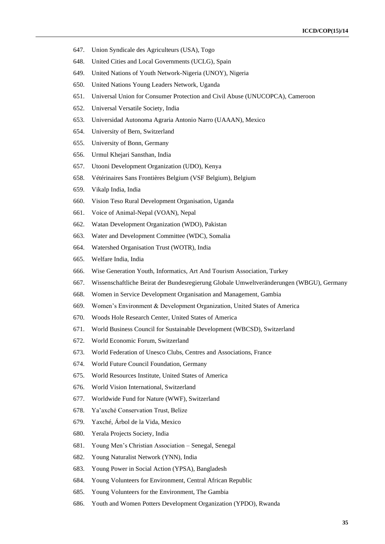- 647. Union Syndicale des Agriculteurs (USA), Togo
- 648. United Cities and Local Governments (UCLG), Spain
- 649. United Nations of Youth Network-Nigeria (UNOY), Nigeria
- 650. United Nations Young Leaders Network, Uganda
- 651. Universal Union for Consumer Protection and Civil Abuse (UNUCOPCA), Cameroon
- 652. Universal Versatile Society, India
- 653. Universidad Autonoma Agraria Antonio Narro (UAAAN), Mexico
- 654. University of Bern, Switzerland
- 655. University of Bonn, Germany
- 656. Urmul Khejari Sansthan, India
- 657. Utooni Development Organization (UDO), Kenya
- 658. Vétérinaires Sans Frontières Belgium (VSF Belgium), Belgium
- 659. Vikalp India, India
- 660. Vision Teso Rural Development Organisation, Uganda
- 661. Voice of Animal-Nepal (VOAN), Nepal
- 662. Watan Development Organization (WDO), Pakistan
- 663. Water and Development Committee (WDC), Somalia
- 664. Watershed Organisation Trust (WOTR), India
- 665. Welfare India, India
- 666. Wise Generation Youth, Informatics, Art And Tourism Association, Turkey
- 667. Wissenschaftliche Beirat der Bundesregierung Globale Umweltveränderungen (WBGU), Germany
- 668. Women in Service Development Organisation and Management, Gambia
- 669. Women's Environment & Development Organization, United States of America
- 670. Woods Hole Research Center, United States of America
- 671. World Business Council for Sustainable Development (WBCSD), Switzerland
- 672. World Economic Forum, Switzerland
- 673. World Federation of Unesco Clubs, Centres and Associations, France
- 674. World Future Council Foundation, Germany
- 675. World Resources Institute, United States of America
- 676. World Vision International, Switzerland
- 677. Worldwide Fund for Nature (WWF), Switzerland
- 678. Ya'axché Conservation Trust, Belize
- 679. Yaxché, Árbol de la Vida, Mexico
- 680. Yerala Projects Society, India
- 681. Young Men's Christian Association Senegal, Senegal
- 682. Young Naturalist Network (YNN), India
- 683. Young Power in Social Action (YPSA), Bangladesh
- 684. Young Volunteers for Environment, Central African Republic
- 685. Young Volunteers for the Environment, The Gambia
- 686. Youth and Women Potters Development Organization (YPDO), Rwanda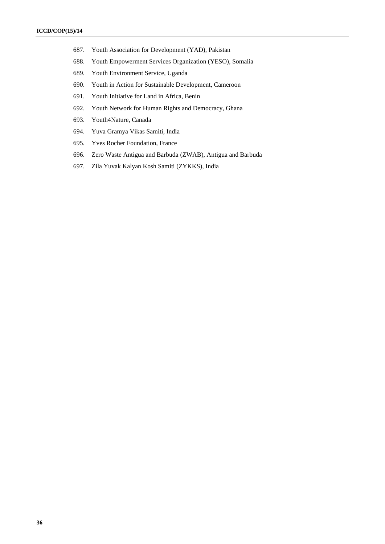- 687. Youth Association for Development (YAD), Pakistan
- 688. Youth Empowerment Services Organization (YESO), Somalia
- 689. Youth Environment Service, Uganda
- 690. Youth in Action for Sustainable Development, Cameroon
- 691. Youth Initiative for Land in Africa, Benin
- 692. Youth Network for Human Rights and Democracy, Ghana
- 693. Youth4Nature, Canada
- 694. Yuva Gramya Vikas Samiti, India
- 695. Yves Rocher Foundation, France
- 696. Zero Waste Antigua and Barbuda (ZWAB), Antigua and Barbuda
- 697. Zila Yuvak Kalyan Kosh Samiti (ZYKKS), India